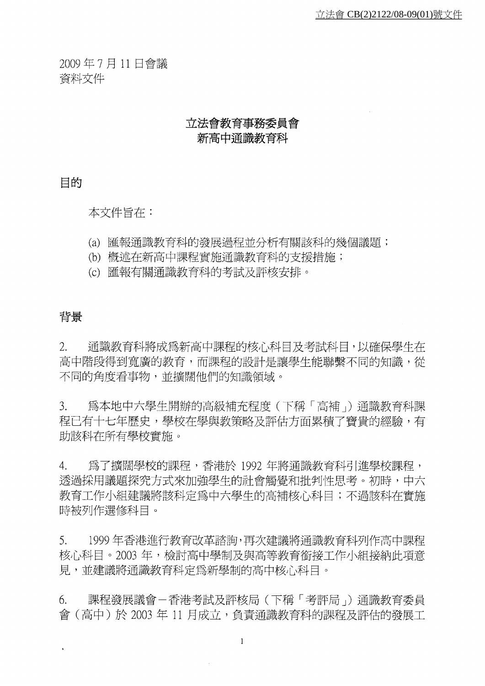2009年7月11日會議 資料文件

# 立法會教育事務委員會 新高中涌識教育科

目的

本文件旨存:

- (a) 匯報通識教育科的發展過程並分析有關該科的幾個議題;
- (b) 概述在新高中課程實施涌識教育科的支援措施;
- (c) 匯報有關通識教育科的考試及評核安排。

### 背景

 $\hat{\mathbf{r}}$ 

 $2^{+}$ 通識教育科將成爲新高中課程的核心科目及考試科目,以確保學生在 高中階段得到寬廣的教育,而課程的設計是讓學生能聯繫不同的知識,從 不同的角度看事物,並擴闊他們的知識領域。

 $\mathcal{E}$ . 爲本地中六學牛開辦的高級補充程度 ( 下稱 「 高補 」) 涌識教育科課 程已有十七年歷史,學校在學與教策略及評估方面累積了寶貴的經驗,有 助該科在所有學校實施。

 $4.$ 為了擴闊學校的課程,香港於 1992 年將通識教育科引淮學校課程, 透過採用議題探究方式來加強學生的社會觸覺和批判性思考。初時,中六 教育工作小組建議將該科定爲中六學生的高補核心科曰;不渦該科存實施 時被列作選修科目。

 $5<sub>1</sub>$ 1999年香港進行教育改革諮詢,再次建議將通識教育科列作高中課程 核心科目。2003年,檢討高中學制及與高等教育銜接工作小組接納此項意 見,並建議將通識教育科定爲新學制的高中核心科目。

課程發展議會-香港考試及評核局(下稱「考評局」)通識教育委員 6. 會 (高中)於 2003年 11 月成立, 負責涌識教育科的課程及評估的發展工

 $\mathbf{1}$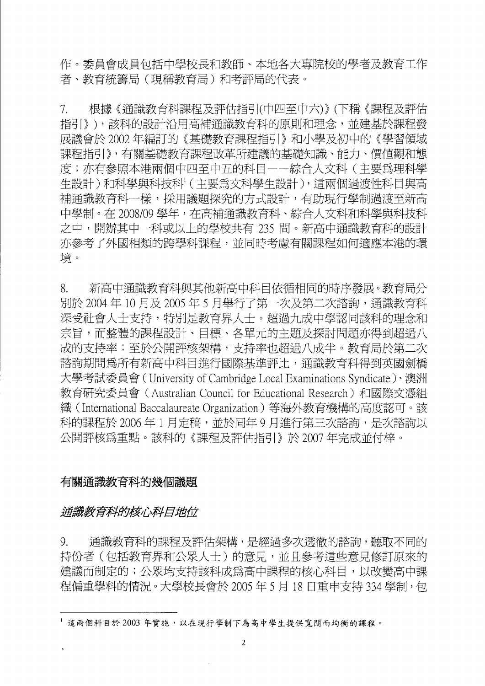作。委員會成員包括中學校長和教師、本地各大專院校的學者及教育工作 者、教育統籌局(現稱教育局)和考評局的代表。

根據《涌識教育科課程及評估指引(中四至中六)》(下稱《課程及評估  $7_{\ldots}$ 指引》),該科的設計沿用高補通識教育科的原則和理念,並建基於課程發 展議會於 2002年編訂的《基礎教育課程指引》和小學及初中的《學習領域 課程指引》,有關基礎教育課程改革所建議的基礎知識、能力、價値觀和態 度;亦有參照本港兩個中四至中五的科目——綜合人文科(主要爲理科學 牛設計)和科學與科技科(主要為文科學生設計),這兩個過渡性科目與高 補通識教育科一樣,採用議題探究的方式設計,有助現行學制過渡至新高 中學制。在 2008/09 學年,在高補通識教育科、綜合人文科和科學與科技科 之中,開辦其中一科或以上的學校共有 235 間。新高中通識教育科的設計 亦參考了外國相類的跨學科課程,並同時考慮有關課程如何適應本港的環 境。

8. 新高中通識教育科與其他新高中科目依循相同的時序發展。教育局分 別於 2004年10月及 2005年5月舉行了第一次及第二次諮詢,通識教育科 深受社會人士支持,特別是教育界人士。超過九成中學認同該科的理念和 宗旨,而整體的課程設計、目標、各單元的主題及探討問題亦得到超過八 成的支持率;至於公開評核架構,支持率也超過八成半。教育局於第二次 諮詢期間為所有新高中科目進行國際基進評比,通識教育科得到英國劍橋 大學考試委員會 (University of Cambridge Local Examinations Syndicate)、澳洲 教育研究委員會 (Australian Council for Educational Research)和國際文憑組 織 (International Baccalaureate Organization) 等海外教育機構的高度認可。該 科的課程於 2006 年 1 月定稿,並於同年 9 月進行第三次諮詢,是次諮詢以 公開評核爲重點。該科的《課程及評估指引》於 2007 年完成並付梓。

# 有關涌識教育科的幾個議題

### 涌識教育科的核心科目地位

通識教育科的課程及評估架構,是經過多次透徹的諮詢,聽取不同的  $Q_{\perp}$ 持份者(包括教育界和公眾人士)的意見,並且參考這些意見修訂原來的 建議而制定的;公眾均支持該科成爲高中課程的核心科目,以改變高中課 程偏重學科的情況。大學校長會於 2005年5月18日重申支持 334 學制, 包

<sup>&</sup>lt;sup>1</sup>這兩個科目於2003年實施,以在現行學制下為高中學生提供寬闊而均衡的課程。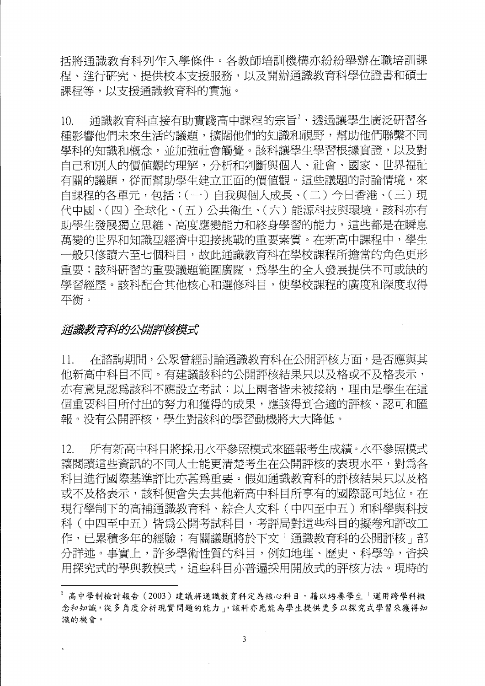括將涌識教育科列作入學條件。各教師培訓機構亦紛紛舉辦在職培訓課 程、淮行研究、提供校本支援服務,以及開辦通識教育科學位證書和碩士 課程等,以支援涌識教育科的實施。

 $10.$ 涌識教育科直接有助實踐高中課程的宗旨<sup>2</sup>,透過讓學生廣泛研習各 種影響他們未來生活的議題,擴闊他們的知識和視野,幫助他們聯繫不同 學科的知識和概念,並加強社會觸覺。該科讓學生學習根據實證,以及對 自己和別人的價值觀的理解,分析和判斷與個人、社會、國家、世界福祉 有關的議題,從而幫助學生建立正面的價值觀。這些議題的討論情境,來 自課程的各單元,包括:(一)自我與個人成長、(二)今日香港、(三)現 代中國、(四)全球化、(五)公共衛生、(六)能源科技與環境。該科亦有 助學生發展獨立思維、高度應變能力和終身學習的能力,這些都是在瞬息 萬變的世界和知識型經濟中迎接挑戰的重要素質。在新高中課程中,學生 一般只修讀六至七個科目,故此涌識教育科在學校課程所擔當的角色更形 重要;該科研習的重要議題範圍廣闊,為學生的全人發展提供不可或缺的 學習經歷。該科配合其他核心和選修科目,使學校課程的廣度和深度取得 平衝。

### 涌識教育科的公開評核模式

在諮詢期間,公眾曾經討論通識教育科在公開評核方面,是否應與其 11. 他新高中科目不同。有建議該科的公開評核結果只以及格或不及格表示, 亦有意見認爲該科不應設立考試;以上兩者皆未被接納,理由是學生在這 個重要科目所付出的努力和獲得的成果,應該得到合適的評核、認可和匯 報。没有公開評核,學生對該科的學習動機將大大降低。

所有新高中科目將採用水平參照模式來匯報考生成績。水平參照模式  $12.$ 讓閱讀這些資訊的不同人十能更清楚考生在公開評核的表現水平,對為各 科目淮行國際基進評比亦甚爲重要。假如涌識教育科的評核結果只以及格 或不及格表示,該科便會失去其他新高中科目所享有的國際認可地位。在 現行學制下的高補通識教育科、綜合人文科(中四至中五)和科學與科技 科(中四至中五)皆爲公開考試科目,考評局對這些科目的擬卷和評改工 作,已累積多年的經驗;有關議題將於下文「通識教育科的公開評核」部 分詳述。事實上,許多學術性質的科目,例如地理、歷史、科學等,皆採 用探究式的學與教模式,這些科目亦普遍採用開放式的評核方法。現時的

<sup>&</sup>lt;sup>2</sup> 高中學制檢討報告 (2003) 建議將通識教育科定為核心科目,藉以培養學生「運用跨學科概 念和知識,從多角度分析現實問題的能力」,該科亦應能為學生提供更多以探究式學習來獲得知 識的機會。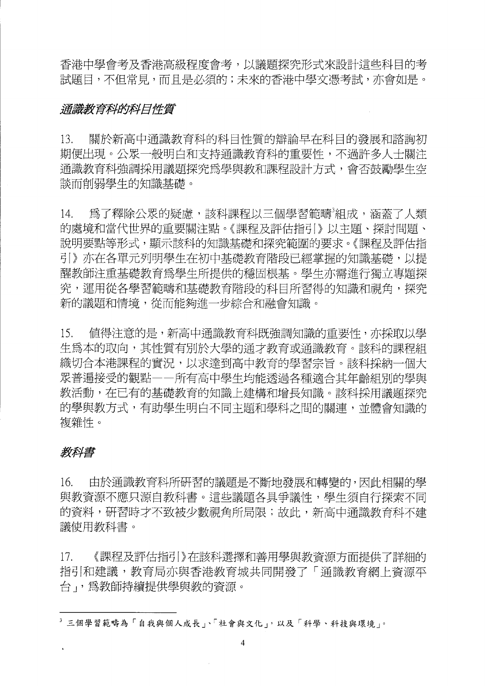香港中學會考及香港高級程度會考,以議題探究形式來設計這些科目的考 試題目,不但常見,而且是必須的;未來的香港中學文憑考試,亦會如是。

### 涌識教育科的科目性質

關於新高中涌識教育科的科目性質的辯論早在科目的發展和諮詢初 13. 期便出現。公眾一般明白和支持涌識教育科的重要性,不過許多人士關注 通識教育科強調採用議題探究為學與教和課程設計方式,會否鼓勵學生空 談而削弱學生的知識基礎。

為了釋除公眾的疑慮,該科課程以三個學習範疇3組成,涵蓋了人類  $14.$ 的處境和當代世界的重要關注點。《課程及評估指引》以主題、探討問題、 說明要點等形式,顯示該科的知識基礎和探究範圍的要求。《課程及評估指 引》亦在各單元列明學生在初中基礎教育階段已經掌握的知識基礎,以提 醒教師注重基礎教育為學生所提供的穩固根基。學生亦需淮行獨立專題探 究,運用從各學習範疇和基礎教育階段的科目所習得的知識和視角,探究 新的議題和情境,從而能夠淮一步綜合和融會知識。

値得注意的是,新高中通識教育科既強調知識的重要性,亦採取以學 15. 生爲本的取向,其性質有別於大學的通才教育或通識教育。該科的課程組 織切合本港課程的實況,以求達到高中教育的壆習宗旨。該科採納一個大 眾普遍接受的觀點——所有高中學生均能透過各種適合其年齡組別的學與 教活動,在已有的基礎教育的知識上建構和增長知識。該科採用議題探究 的學與教方式,有助學生明白不同主題和學科之間的關連,並體會知識的 複雜性。

# 教科書

 $16.$ 由於通識教育科所研習的議題是不斷地發展和轉變的,因此相關的學 與教資源不應只源自教科書。這些議題各具爭議性,學生須自行探索不同 的資料,研習時才不致被少數視角所局限;故此,新高中涌識教育科不建 議使用教科書。

 $17.$ 《課程及評估指引》在該科選擇和善用學與教資源方面提供了詳細的 指引和建議,教育局亦與香港教育城共同開發了「涌識教育網上資源平 台、爲教師持續提供學與教的資源。

<sup>3</sup> 三個學習範疇為「自我與個人成長」、「社會與文化」,以及「科學、科技與環境」。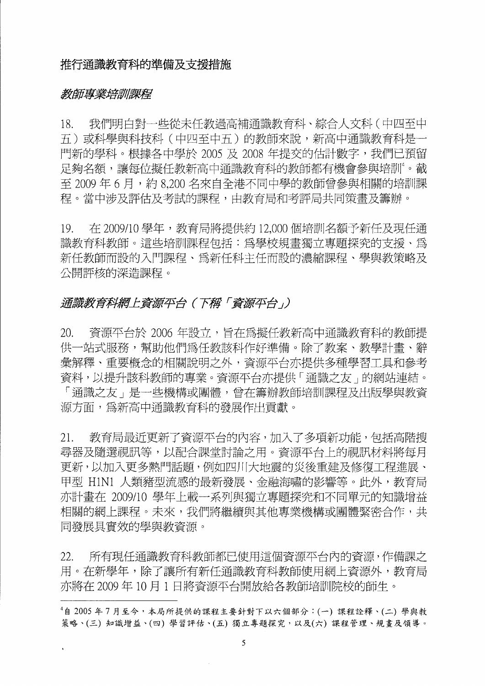### 推行涌識教育科的進備及支援措施

#### 教師專業培訓課程

我們明白對一些從未仟教渦高補涌識教育科、綜合人文科(中四至中  $18<sub>1</sub>$ 五)或科學與科技科 (中四至中五)的教師來說, 新高中涌識教育科是一 門新的學科。根據各中學於 2005 及 2008 年提交的估計數字,我們已預留 足夠名額,讓每位擬任教新高中通識教育科的教師都有機會參與培訓"。截 至 2009年6月,約8.200名來自全港不同中學的教師曾參與相關的培訓課 程。當中涉及評估及考試的課程,由教育局和考評局共同策書及籌辦。

在 2009/10 學年,教育局將提供約 12.000 個培訓名額予新任及現任通  $19<sub>1</sub>$ 識教育科教師。這些培訓課程包括:為學校規書獨立專題探究的支援、爲 新任教師而設的入門課程、為新任科主任而設的濃縮課程、學與教策略及 公開評核的深浩課程。

# 通識教育科網上資源平台(下稱「資源平台」)

資源平台於 2006年設立,旨在爲擬任教新高中通識教育科的教師提  $20.$ 供一站式服務,幫助他們為任教該科作好準備。除了教案、教學計書、辭 彙解釋、重要概念的相關說明之外,資源平台亦提供多種學習工具和參考 資料,以提升該科教師的專業。資源平台亦提供「通識之友」的網站連結。 「通識之友」是一些機構或團體,曾在籌辦教師培訓課程及出版學與教資 源方面,爲新高中涌識教育科的發展作出貢獻。

教育局最近更新了資源平台的內容,加入了多項新功能,包括高階搜  $21.$ 尋器及隨選視訊等,以配合課堂討論之用。資源平台上的視訊材料將每月 更新,以加入更多熱門話題,例如四川大地震的災後重建及修復工程進展、 甲型 H1N1 人類豬型流感的最新發展、金融海嘯的影響等。此外,教育局 亦計書在 2009/10 學年上載一系列與獨立專題探究和不同單元的知識增益 相關的網上課程。未來,我們將繼續與其他專業機構或團體緊密合作,共 同發展具實效的學與教資源。

所有現任通識教育科教師都已使用這個資源平台內的資源,作備課之 22. 用。在新學年,除了讓所有新任通識教育科教師使用網上資源外,教育局 亦將在2009年10月1日將資源平台開放給各教師培訓院校的師生。

<sup>4</sup>自 2005年7月至今,本局所提供的課程主要針對下以六個部分:(一)課程詮釋、(二)學與教 策略、(三)知識增益、(四)學習評估、(五)獨立專題探究,以及(六)課程管理、規書及領導。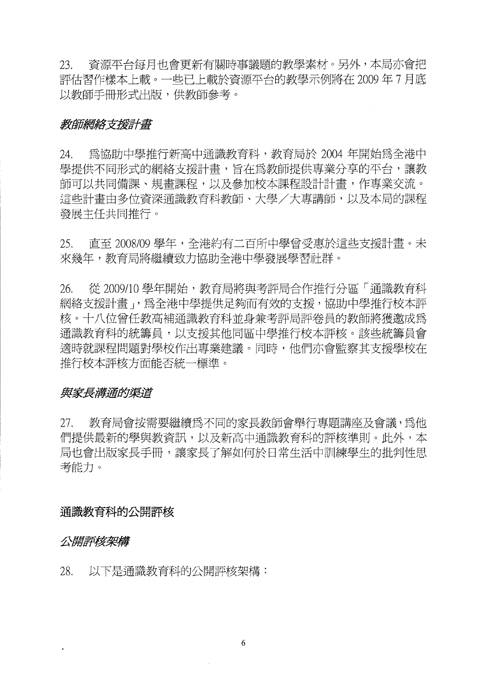資源平台每月也會更新有關時事議題的教學素材。另外,本局亦會把 23. 評估習作樣本上載。一些已上載於資源平台的教學示例將在2009年7月底 以教師手冊形式出版,供教師參考。

### 教師網絡支援計畫

24. 為協助中學推行新高中通識教育科,教育局於 2004 年開始為全港中 學提供不同形式的網絡支援計畫,旨在爲教師提供專業分享的平台,讓教 師可以共同備課、規書課程,以及參加校本課程設計計書,作專業交流。 這些計書由多位資深涌識教育科教師、大學/大專講師,以及本局的課程 發展主任共同推行。

 $25.$ 直至 2008/09 學年,全港約有二百所中學曾受惠於這些支援計書。未 來幾年,教育局將繼續致力協助全港中學發展學習計群。

從 2009/10 學年開始, 教育局將與考評局合作推行分區「通識教育科 26. 網絡支援計書」,為全港中學提供足夠而有效的支援,協助中學推行校本評 核。十八位曾任教高補涌識教育科並身兼考評局評卷員的教師將獲激成爲 通識教育科的統籌員,以支援其他同區中學推行校本評核。該些統籌員會 適時就課程問題對學校作出專業建議。同時,他們亦會監察其支援學校在 推行校本評核方面能否統一標進。

### 與家長溝涌的渠道

教育局會按需要繼續為不同的家長教師會舉行專題講座及會議,為他  $27.$ 們提供最新的學與教資訊,以及新高中涌識教育科的評核準則。此外,本 局也會出版家長手冊,讓家長了解如何於日常生活中訓練學生的批判性思 考能力。

### 通識教育科的公開評核

### 公開評核架構

28. 以下是通識教育科的公開評核架構: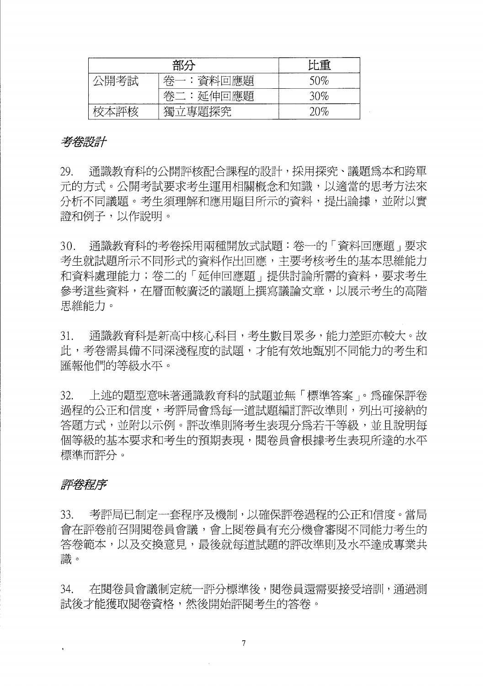| 部分   |             | 比重     |
|------|-------------|--------|
| \開考試 | :資料回應題<br>枀 | $50\%$ |
|      | 卷二:延伸回應題    | $30\%$ |
|      | 獨立專題探究      | 20%    |

### 考卷設計

29. 通識教育科的公開評核配合課程的設計,採用探究、議題爲本和跨單 元的方式。公開考試要求考生運用相關概念和知識,以適當的思考方法來 分析不同議題。考生須理解和應用題目所示的資料,提出論據,並附以實 證和例子,以作說明。

 $30.$ 通識教育科的考卷採用兩種開放式試題:卷一的「資料回應題」要求 考生就試題所示不同形式的資料作出回應,主要考核考生的基本思維能力 和資料處理能力;卷二的「延伸回應題」提供討論所需的資料,要求考生 參考這些資料,在層面較廣泛的議題上撰寫議論文章,以展示考生的高階 思維能力。

涌識教育科是新高中核心科目,考生數目眾多,能力差距亦較大。故  $31<sub>1</sub>$ 此,考卷需具備不同深淺程度的試題,才能有效地甄別不同能力的考生和 匯報他們的等級水平。

 $32.$ 上述的題型意味著通識教育科的試題並無「標準答案」。為確保評卷 過程的公正和信度,考評局會爲每一道試題編訂評改進則,列出可接納的 答題方式,並附以示例。評改進則將考生表現分為若干等級,並且說明每 個等級的基本要求和考生的預期表現,閱卷員會根據考生表現所達的水平 標準而評分。

# 評卷程序

33. 考評局已制定一套程序及機制,以確保評卷過程的公正和信度。當局 會在評卷前召開閱卷員會議,會上閱卷員有充分機會審閱不同能力考生的 答卷範本,以及交換意見,最後就每道試題的評改進則及水平達成專業共 識。

在閱卷員會議制定統一評分標準後,閱卷員還需要接受培訓,通過測 34. 試後才能獲取閱卷資格,然後開始評閱考生的答卷。

 $\overline{7}$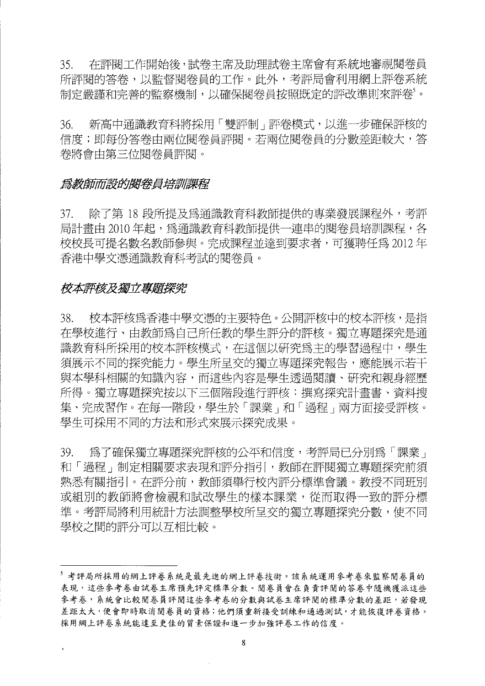在評閱工作開始後,試卷主席及助理試卷主席會有系統地審視閱卷員  $35<sub>1</sub>$ 所評閱的答卷,以監督閱卷員的工作。此外,考評局會利用網上評卷系統 制定嚴謹和完善的監察機制,以確保閱卷員按照既定的評改準則來評卷'。

新高中通識教育科將採用「雙評制」評卷模式,以進一步確保評核的  $36.$ 信度;即每份答卷由兩位閱卷員評閱。若兩位閱卷員的分數差距較大,答 卷將會由第三位閱卷員評閱。

#### 爲教師而設的閣卷員培訓課程

除了第18段所提及為通識教育科教師提供的專業發展課程外,考評 37. 局計書由 2010年起,為涌識教育科教師提供一連串的閱卷員培訓課程,各 校校長可提名數名教師參與。完成課程並達到要求者,可獲聘任爲 2012 年 香港中學文憑通識教育科考試的閱卷員。

#### 校本評核及獨立專題探究

校本評核爲香港中學文憑的主要特色。公開評核中的校本評核,是指  $38<sup>7</sup>$ 在學校進行、由教師為自己所任教的學生評分的評核。獨立專題探究是通 識教育科所採用的校本評核模式,在這個以研究為主的學習過程中,學生 須展示不同的探究能力。學生所呈交的獨立專題探究報告,應能展示若干 與本學科相關的知識內容,而這些內容是學生透過閱讀、研究和親身經歷 所得。獨立專題探究按以下三個階段淮行評核:撰寫探究計書書、資料搜 集、完成習作。在每一階段,學生於「課業」和「過程」兩方面接受評核。 學生可採用不同的方法和形式來展示探究成果。

爲了確保獨立專題探究評核的公平和信度,考評局已分別爲「課業」 39. 和「過程」制定相關要求表現和評分指引,教師在評閱獨立專題探究前須 熟悉有關指引。在評分前,教師須舉行校內評分標準會議。教授不同班別 或組別的教師將會檢視和試改學生的樣本課業,從而取得一致的評分標 準。考評局將利用統計方法調整學校所呈交的獨立專題探究分數,使不同 學校之間的評分可以互相比較。

<sup>5</sup> 考評局所採用的網上評卷系統是最先進的網上評卷技術。該系統運用參考卷來監察閱卷員的 表現,這些參考卷由試卷主席預先評定標準分數。閱卷員會在負責評閱的答卷中隨機獲派這些 參考卷,系統會比較閱卷員評閱這些參考卷的分數與試卷主席評閱的標準分數的差距,若發現 差距太大,便會即時取消閱卷員的資格;他們須重新接受訓練和通過測試,才能恢復評卷資格。 採用網上評卷系統能達至更佳的質素保證和進一步加強評卷工作的信度。